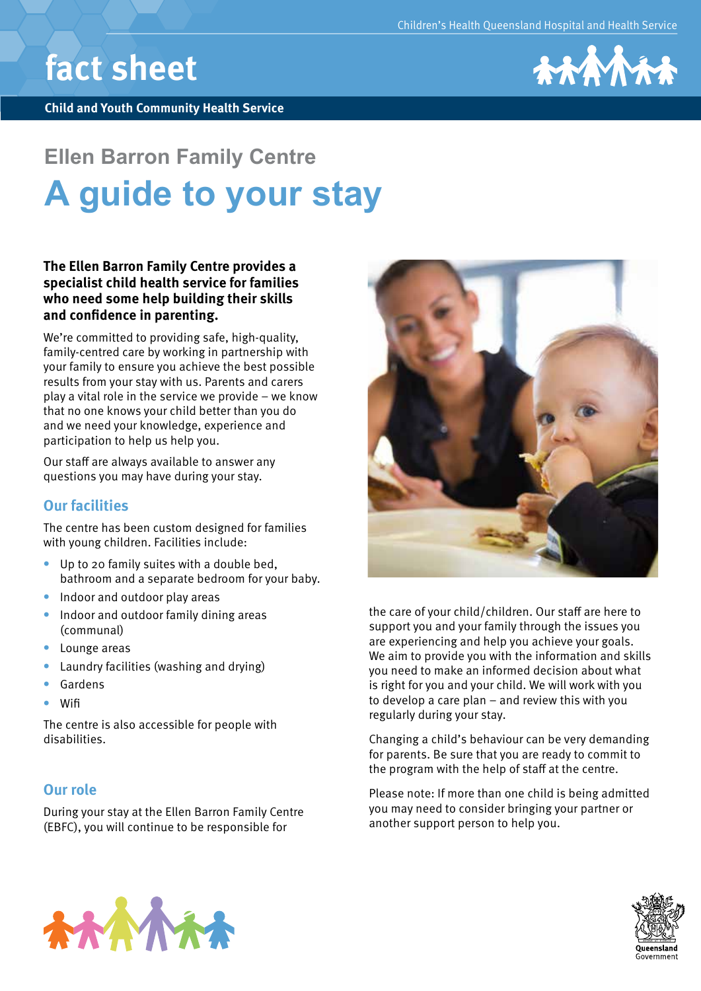# **fact sheet**

**Child and Youth Community Health Service**



# **Ellen Barron Family Centre A guide to your stay**

## **The Ellen Barron Family Centre provides a specialist child health service for families who need some help building their skills and confidence in parenting.**

We're committed to providing safe, high-quality, family-centred care by working in partnership with your family to ensure you achieve the best possible results from your stay with us. Parents and carers play a vital role in the service we provide − we know that no one knows your child better than you do and we need your knowledge, experience and participation to help us help you.

Our staff are always available to answer any questions you may have during your stay.

# **Our facilities**

The centre has been custom designed for families with young children. Facilities include:

- **•** Up to 20 family suites with a double bed, bathroom and a separate bedroom for your baby.
- **•** Indoor and outdoor play areas
- **•** Indoor and outdoor family dining areas (communal)
- **•** Lounge areas
- **•** Laundry facilities (washing and drying)
- **•** Gardens
- **•** Wifi

The centre is also accessible for people with disabilities.

## **Our role**

During your stay at the Ellen Barron Family Centre (EBFC), you will continue to be responsible for



the care of your child/children. Our staff are here to support you and your family through the issues you are experiencing and help you achieve your goals. We aim to provide you with the information and skills you need to make an informed decision about what is right for you and your child. We will work with you to develop a care plan – and review this with you regularly during your stay.

Changing a child's behaviour can be very demanding for parents. Be sure that you are ready to commit to the program with the help of staff at the centre.

Please note: If more than one child is being admitted you may need to consider bringing your partner or another support person to help you.



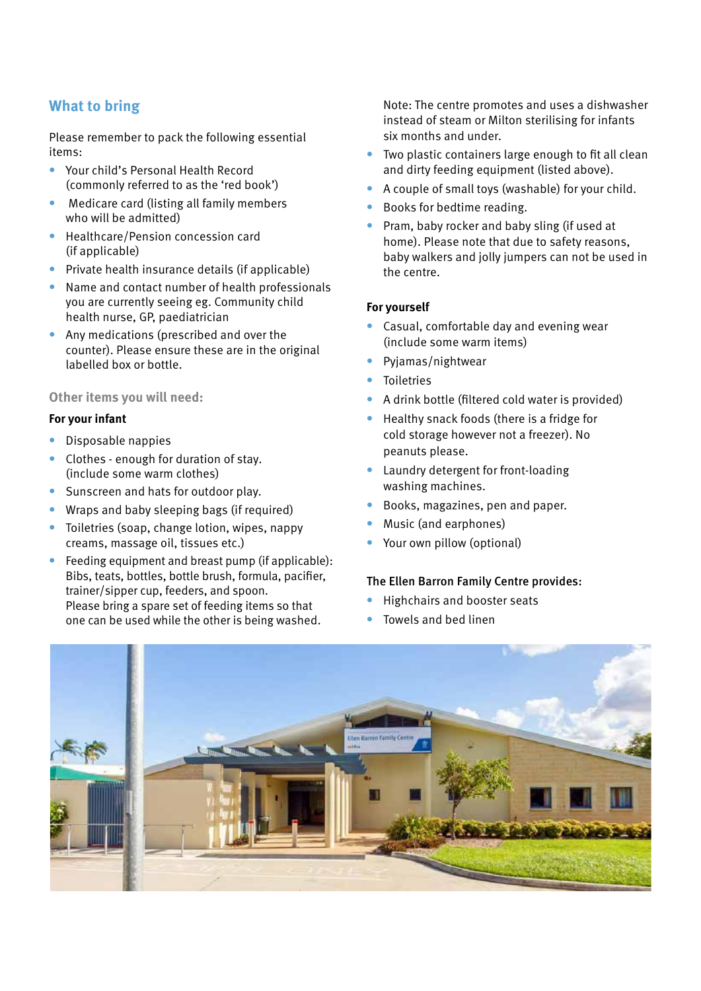# **What to bring**

Please remember to pack the following essential items:

- **•** Your child's Personal Health Record (commonly referred to as the 'red book')
- **•** Medicare card (listing all family members who will be admitted)
- **•** Healthcare/Pension concession card (if applicable)
- **•** Private health insurance details (if applicable)
- **•** Name and contact number of health professionals you are currently seeing eg. Community child health nurse, GP, paediatrician
- **•** Any medications (prescribed and over the counter). Please ensure these are in the original labelled box or bottle.

### **Other items you will need:**

#### **For your infant**

- **•** Disposable nappies
- **•** Clothes enough for duration of stay. (include some warm clothes)
- **•** Sunscreen and hats for outdoor play.
- **•** Wraps and baby sleeping bags (if required)
- **•** Toiletries (soap, change lotion, wipes, nappy creams, massage oil, tissues etc.)
- **•** Feeding equipment and breast pump (if applicable): Bibs, teats, bottles, bottle brush, formula, pacifier, trainer/sipper cup, feeders, and spoon. Please bring a spare set of feeding items so that one can be used while the other is being washed.

Note: The centre promotes and uses a dishwasher instead of steam or Milton sterilising for infants six months and under.

- **•** Two plastic containers large enough to fit all clean and dirty feeding equipment (listed above).
- **•** A couple of small toys (washable) for your child.
- **•** Books for bedtime reading.
- **•** Pram, baby rocker and baby sling (if used at home). Please note that due to safety reasons, baby walkers and jolly jumpers can not be used in the centre.

#### **For yourself**

- **•** Casual, comfortable day and evening wear (include some warm items)
- **•** Pyjamas/nightwear
- **•** Toiletries
- **•** A drink bottle (filtered cold water is provided)
- **•** Healthy snack foods (there is a fridge for cold storage however not a freezer). No peanuts please.
- **•** Laundry detergent for front-loading washing machines.
- **•** Books, magazines, pen and paper.
- **•** Music (and earphones)
- **•** Your own pillow (optional)

#### The Ellen Barron Family Centre provides:

- **•** Highchairs and booster seats
- **•** Towels and bed linen

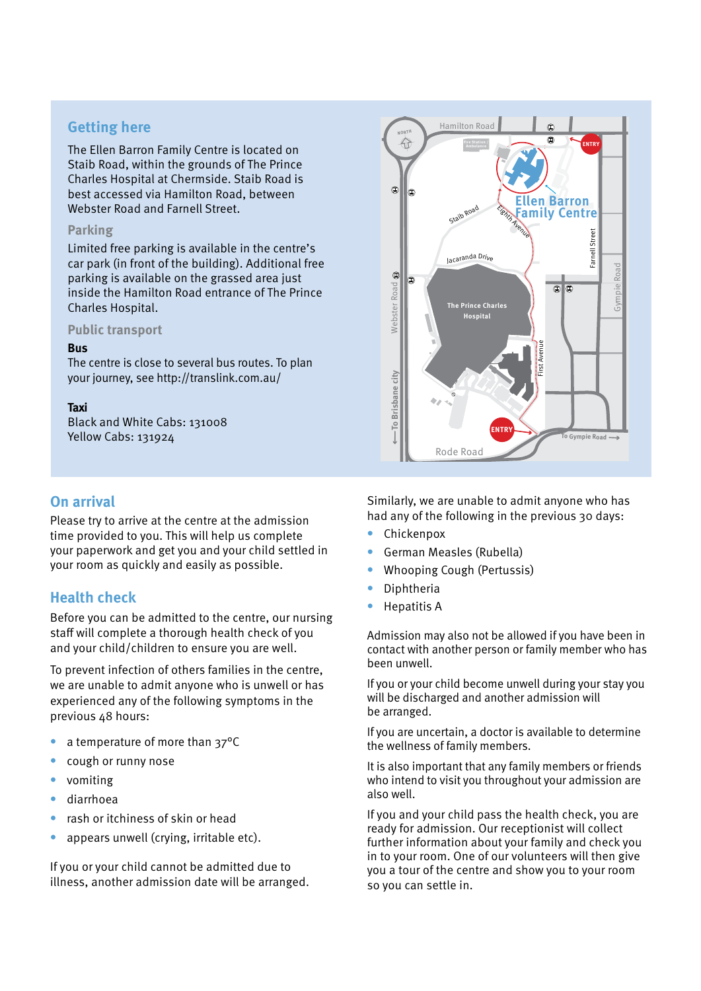# **Getting here**

The Ellen Barron Family Centre is located on Staib Road, within the grounds of The Prince Charles Hospital at Chermside. Staib Road is best accessed via Hamilton Road, between Webster Road and Farnell Street.

#### **Parking**

Limited free parking is available in the centre's car park (in front of the building). Additional free parking is available on the grassed area just inside the Hamilton Road entrance of The Prince Charles Hospital.

**Public transport** 

#### **Bus**

The centre is close to several bus routes. To plan your journey, see http://translink.com.au/

#### **Taxi**

Black and White Cabs: 131008 Yellow Cabs: 131924

## **On arrival**

Please try to arrive at the centre at the admission time provided to you. This will help us complete your paperwork and get you and your child settled in your room as quickly and easily as possible.

## **Health check**

Before you can be admitted to the centre, our nursing staff will complete a thorough health check of you and your child/children to ensure you are well.

To prevent infection of others families in the centre, we are unable to admit anyone who is unwell or has experienced any of the following symptoms in the previous 48 hours:

- a temperature of more than 37°C
- **•** cough or runny nose
- **•** vomiting
- **•** diarrhoea
- **•** rash or itchiness of skin or head
- **•** appears unwell (crying, irritable etc).

If you or your child cannot be admitted due to illness, another admission date will be arranged.



Similarly, we are unable to admit anyone who has had any of the following in the previous 30 days:

- **•** Chickenpox
- **•** German Measles (Rubella)
- **•** Whooping Cough (Pertussis)
- **•** Diphtheria
- **•** Hepatitis A

Admission may also not be allowed if you have been in contact with another person or family member who has been unwell.

If you or your child become unwell during your stay you will be discharged and another admission will be arranged.

If you are uncertain, a doctor is available to determine the wellness of family members.

It is also important that any family members or friends who intend to visit you throughout your admission are also well.

If you and your child pass the health check, you are ready for admission. Our receptionist will collect further information about your family and check you in to your room. One of our volunteers will then give you a tour of the centre and show you to your room so you can settle in.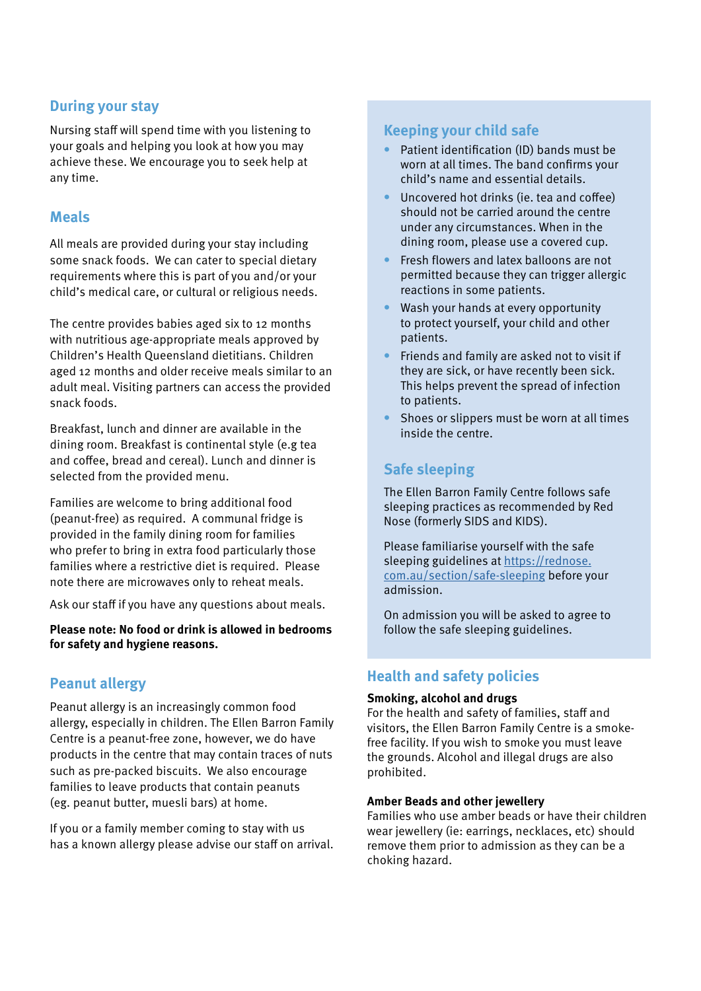# **During your stay**

Nursing staff will spend time with you listening to your goals and helping you look at how you may achieve these. We encourage you to seek help at any time.

## **Meals**

All meals are provided during your stay including some snack foods. We can cater to special dietary requirements where this is part of you and/or your child's medical care, or cultural or religious needs.

The centre provides babies aged six to 12 months with nutritious age-appropriate meals approved by Children's Health Queensland dietitians. Children aged 12 months and older receive meals similar to an adult meal. Visiting partners can access the provided snack foods.

Breakfast, lunch and dinner are available in the dining room. Breakfast is continental style (e.g tea and coffee, bread and cereal). Lunch and dinner is selected from the provided menu.

Families are welcome to bring additional food (peanut-free) as required. A communal fridge is provided in the family dining room for families who prefer to bring in extra food particularly those families where a restrictive diet is required. Please note there are microwaves only to reheat meals.

Ask our staff if you have any questions about meals.

**Please note: No food or drink is allowed in bedrooms for safety and hygiene reasons.** 

# **Peanut allergy**

Peanut allergy is an increasingly common food allergy, especially in children. The Ellen Barron Family Centre is a peanut-free zone, however, we do have products in the centre that may contain traces of nuts such as pre-packed biscuits. We also encourage families to leave products that contain peanuts (eg. peanut butter, muesli bars) at home.

If you or a family member coming to stay with us has a known allergy please advise our staff on arrival.

# **Keeping your child safe**

- **•** Patient identification (ID) bands must be worn at all times. The band confirms your child's name and essential details.
- **•** Uncovered hot drinks (ie. tea and coffee) should not be carried around the centre under any circumstances. When in the dining room, please use a covered cup.
- **•** Fresh flowers and latex balloons are not permitted because they can trigger allergic reactions in some patients.
- **•** Wash your hands at every opportunity to protect yourself, your child and other patients.
- **•** Friends and family are asked not to visit if they are sick, or have recently been sick. This helps prevent the spread of infection to patients.
- **•** Shoes or slippers must be worn at all times inside the centre.

# **Safe sleeping**

The Ellen Barron Family Centre follows safe sleeping practices as recommended by Red Nose (formerly SIDS and KIDS).

Please familiarise yourself with the safe sleeping guidelines at https://rednose. com.au/section/safe-sleeping before your admission.

On admission you will be asked to agree to follow the safe sleeping guidelines.

# **Health and safety policies**

### **Smoking, alcohol and drugs**

For the health and safety of families, staff and visitors, the Ellen Barron Family Centre is a smokefree facility. If you wish to smoke you must leave the grounds. Alcohol and illegal drugs are also prohibited.

### **Amber Beads and other jewellery**

Families who use amber beads or have their children wear jewellery (ie: earrings, necklaces, etc) should remove them prior to admission as they can be a choking hazard.